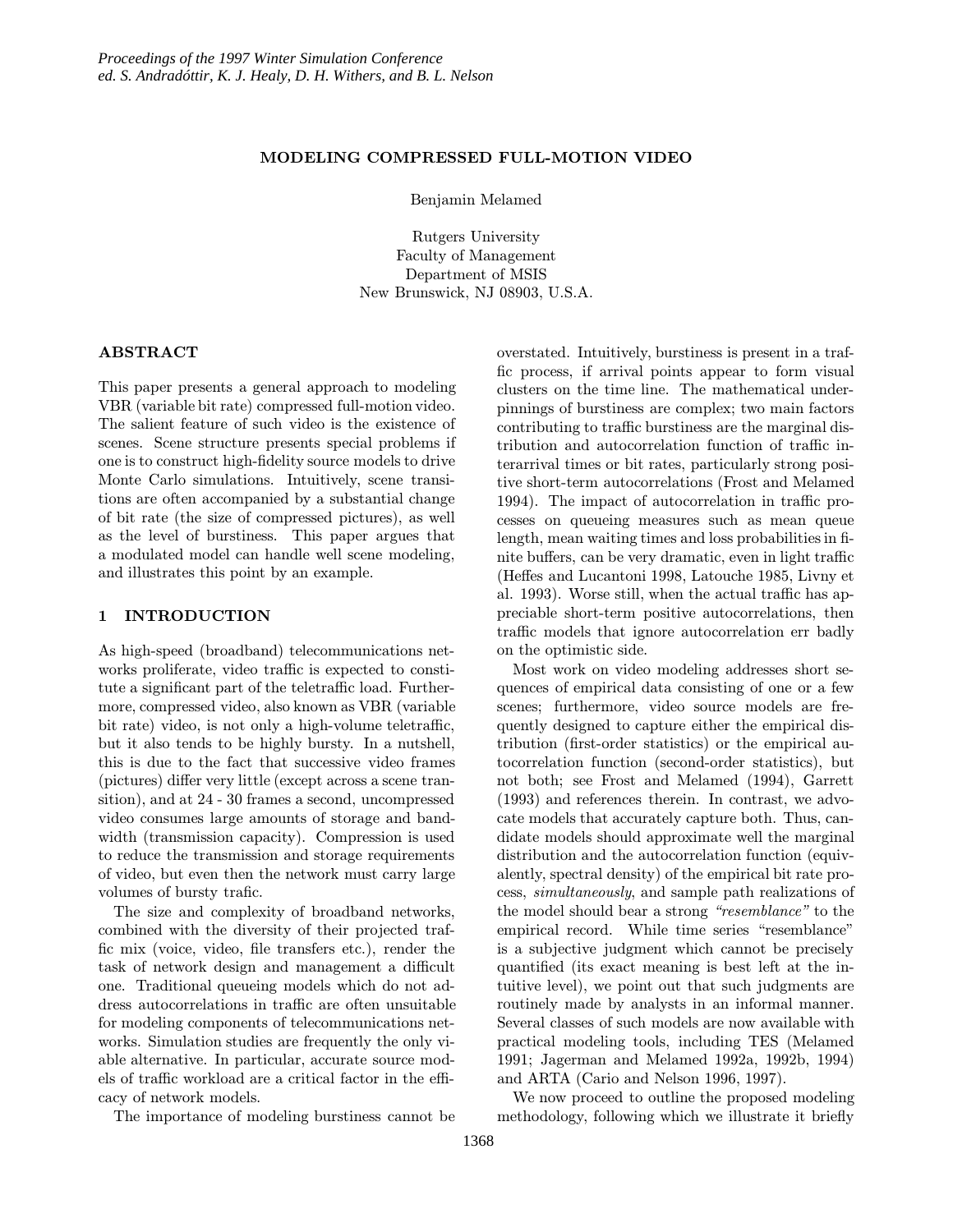### MODELING COMPRESSED FULL-MOTION VIDEO

Benjamin Melamed

Rutgers University Faculty of Management Department of MSIS New Brunswick, NJ 08903, U.S.A.

#### ABSTRACT

This paper presents a general approach to modeling VBR (variable bit rate) compressed full-motion video. The salient feature of such video is the existence of scenes. Scene structure presents special problems if one is to construct high-fidelity source models to drive Monte Carlo simulations. Intuitively, scene transitions are often accompanied by a substantial change of bit rate (the size of compressed pictures), as well as the level of burstiness. This paper argues that a modulated model can handle well scene modeling, and illustrates this point by an example.

## 1 INTRODUCTION

As high-speed (broadband) telecommunications networks proliferate, video traffic is expected to constitute a significant part of the teletraffic load. Furthermore, compressed video, also known as VBR (variable bit rate) video, is not only a high-volume teletraffic, but it also tends to be highly bursty. In a nutshell, this is due to the fact that successive video frames (pictures) differ very little (except across a scene transition), and at 24 - 30 frames a second, uncompressed video consumes large amounts of storage and bandwidth (transmission capacity). Compression is used to reduce the transmission and storage requirements of video, but even then the network must carry large volumes of bursty trafic.

The size and complexity of broadband networks, combined with the diversity of their projected traffic mix (voice, video, file transfers etc.), render the task of network design and management a difficult one. Traditional queueing models which do not address autocorrelations in traffic are often unsuitable for modeling components of telecommunications networks. Simulation studies are frequently the only viable alternative. In particular, accurate source models of traffic workload are a critical factor in the efficacy of network models.

The importance of modeling burstiness cannot be

overstated. Intuitively, burstiness is present in a traffic process, if arrival points appear to form visual clusters on the time line. The mathematical underpinnings of burstiness are complex; two main factors contributing to traffic burstiness are the marginal distribution and autocorrelation function of traffic interarrival times or bit rates, particularly strong positive short-term autocorrelations (Frost and Melamed 1994). The impact of autocorrelation in traffic processes on queueing measures such as mean queue length, mean waiting times and loss probabilities in finite buffers, can be very dramatic, even in light traffic (Heffes and Lucantoni 1998, Latouche 1985, Livny et al. 1993). Worse still, when the actual traffic has appreciable short-term positive autocorrelations, then traffic models that ignore autocorrelation err badly on the optimistic side.

Most work on video modeling addresses short sequences of empirical data consisting of one or a few scenes; furthermore, video source models are frequently designed to capture either the empirical distribution (first-order statistics) or the empirical autocorrelation function (second-order statistics), but not both; see Frost and Melamed (1994), Garrett (1993) and references therein. In contrast, we advocate models that accurately capture both. Thus, candidate models should approximate well the marginal distribution and the autocorrelation function (equivalently, spectral density) of the empirical bit rate process, simultaneously, and sample path realizations of the model should bear a strong "resemblance" to the empirical record. While time series "resemblance" is a subjective judgment which cannot be precisely quantified (its exact meaning is best left at the intuitive level), we point out that such judgments are routinely made by analysts in an informal manner. Several classes of such models are now available with practical modeling tools, including TES (Melamed 1991; Jagerman and Melamed 1992a, 1992b, 1994) and ARTA (Cario and Nelson 1996, 1997).

We now proceed to outline the proposed modeling methodology, following which we illustrate it briefly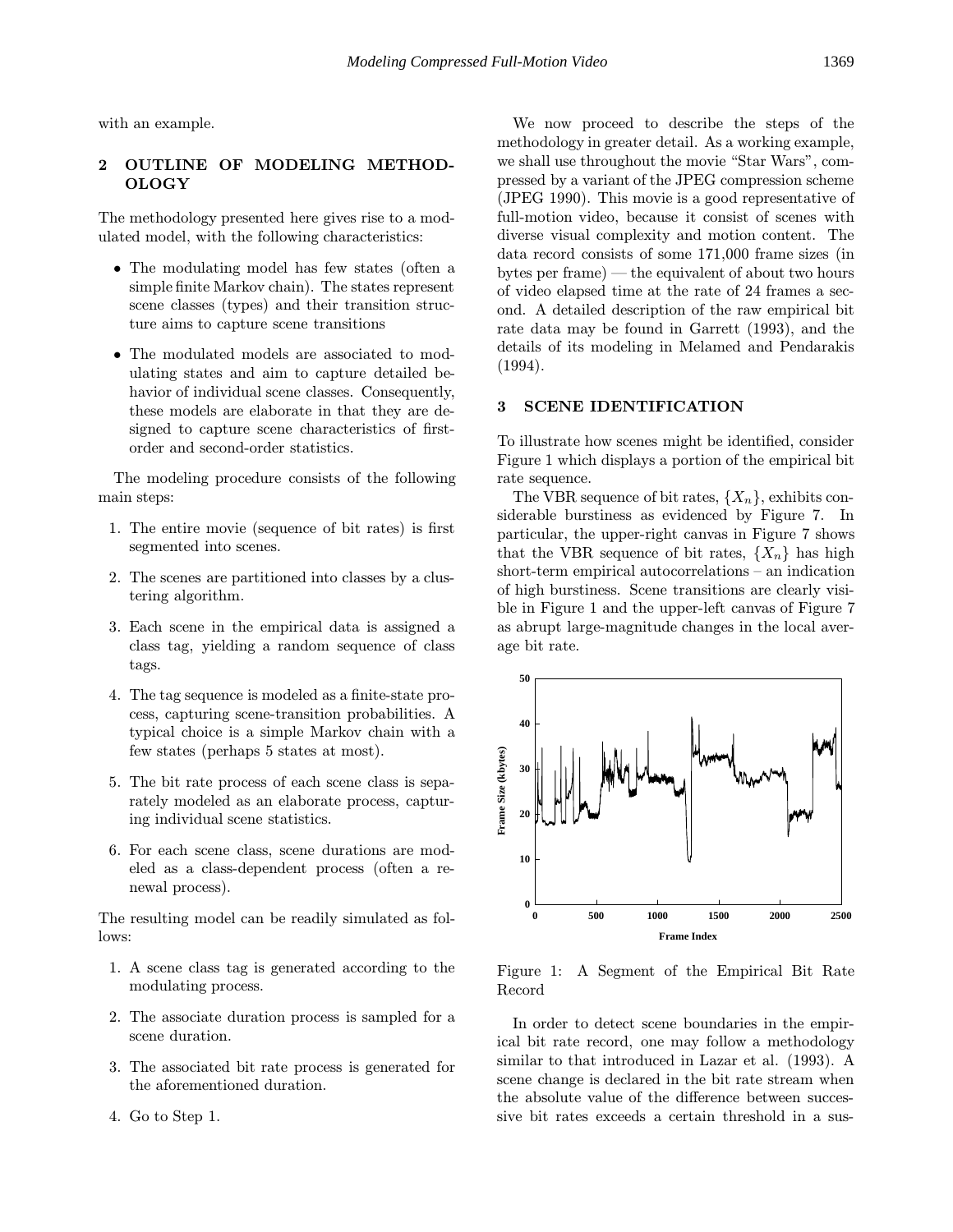with an example.

## 2 OUTLINE OF MODELING METHOD-**OLOGY**

The methodology presented here gives rise to a modulated model, with the following characteristics:

- The modulating model has few states (often a simple finite Markov chain). The states represent scene classes (types) and their transition structure aims to capture scene transitions
- The modulated models are associated to modulating states and aim to capture detailed behavior of individual scene classes. Consequently, these models are elaborate in that they are designed to capture scene characteristics of firstorder and second-order statistics.

The modeling procedure consists of the following main steps:

- 1. The entire movie (sequence of bit rates) is first segmented into scenes.
- 2. The scenes are partitioned into classes by a clustering algorithm.
- 3. Each scene in the empirical data is assigned a class tag, yielding a random sequence of class tags.
- 4. The tag sequence is modeled as a finite-state process, capturing scene-transition probabilities. A typical choice is a simple Markov chain with a few states (perhaps 5 states at most).
- 5. The bit rate process of each scene class is separately modeled as an elaborate process, capturing individual scene statistics.
- 6. For each scene class, scene durations are modeled as a class-dependent process (often a renewal process).

The resulting model can be readily simulated as follows:

- 1. A scene class tag is generated according to the modulating process.
- 2. The associate duration process is sampled for a scene duration.
- 3. The associated bit rate process is generated for the aforementioned duration.
- 4. Go to Step 1.

We now proceed to describe the steps of the methodology in greater detail. As a working example, we shall use throughout the movie "Star Wars", compressed by a variant of the JPEG compression scheme (JPEG 1990). This movie is a good representative of full-motion video, because it consist of scenes with diverse visual complexity and motion content. The data record consists of some 171,000 frame sizes (in bytes per frame) — the equivalent of about two hours of video elapsed time at the rate of 24 frames a second. A detailed description of the raw empirical bit rate data may be found in Garrett (1993), and the details of its modeling in Melamed and Pendarakis (1994).

#### 3 SCENE IDENTIFICATION

To illustrate how scenes might be identified, consider Figure 1 which displays a portion of the empirical bit rate sequence.

The VBR sequence of bit rates,  $\{X_n\}$ , exhibits considerable burstiness as evidenced by Figure 7. In particular, the upper-right canvas in Figure 7 shows that the VBR sequence of bit rates,  $\{X_n\}$  has high short-term empirical autocorrelations – an indication of high burstiness. Scene transitions are clearly visible in Figure 1 and the upper-left canvas of Figure 7 as abrupt large-magnitude changes in the local average bit rate.



Figure 1: A Segment of the Empirical Bit Rate Record

In order to detect scene boundaries in the empirical bit rate record, one may follow a methodology similar to that introduced in Lazar et al. (1993). A scene change is declared in the bit rate stream when the absolute value of the difference between successive bit rates exceeds a certain threshold in a sus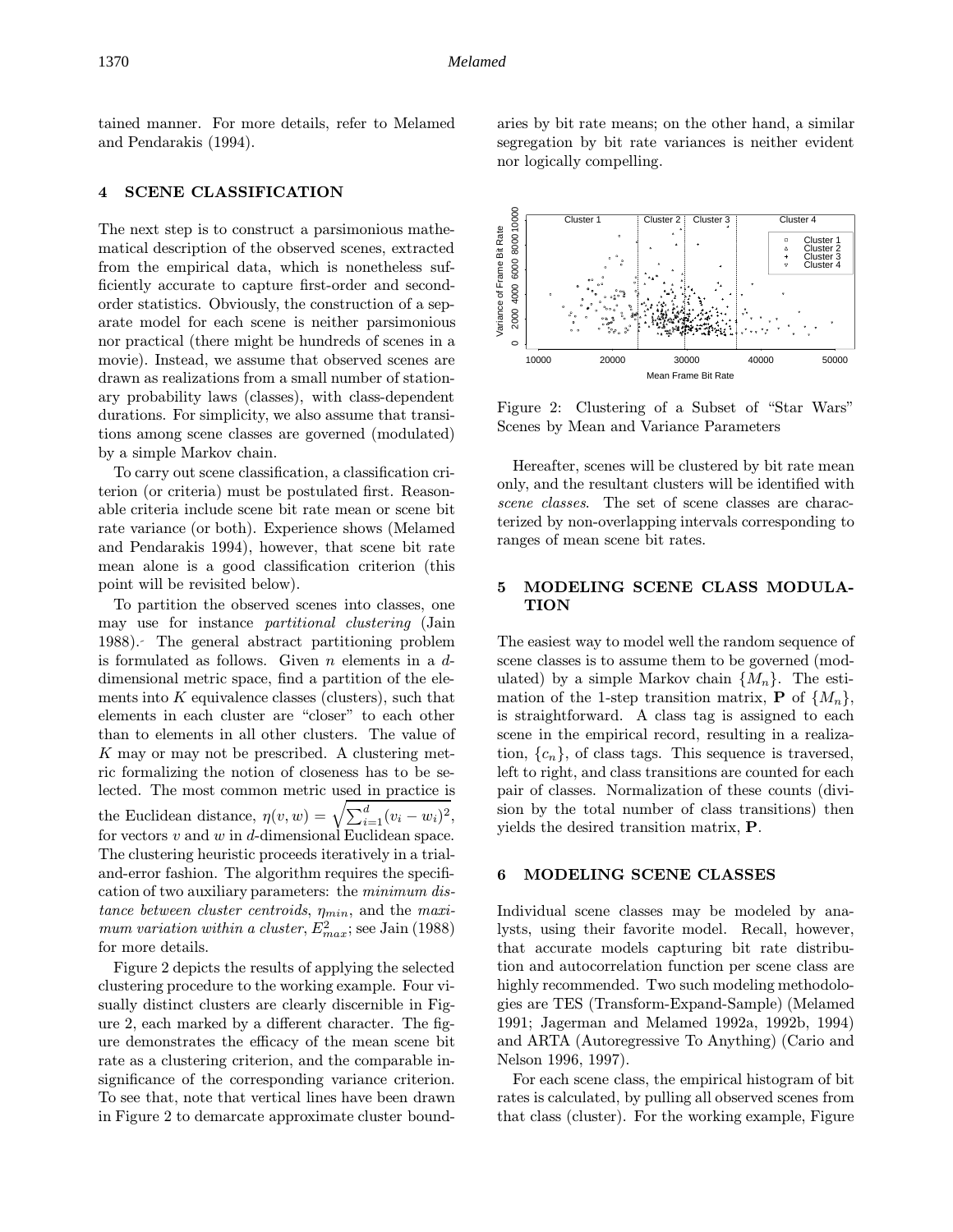tained manner. For more details, refer to Melamed and Pendarakis (1994).

#### 4 SCENE CLASSIFICATION

The next step is to construct a parsimonious mathematical description of the observed scenes, extracted from the empirical data, which is nonetheless sufficiently accurate to capture first-order and secondorder statistics. Obviously, the construction of a separate model for each scene is neither parsimonious nor practical (there might be hundreds of scenes in a movie). Instead, we assume that observed scenes are drawn as realizations from a small number of stationary probability laws (classes), with class-dependent durations. For simplicity, we also assume that transitions among scene classes are governed (modulated) by a simple Markov chain.

To carry out scene classification, a classification criterion (or criteria) must be postulated first. Reasonable criteria include scene bit rate mean or scene bit rate variance (or both). Experience shows (Melamed and Pendarakis 1994), however, that scene bit rate mean alone is a good classification criterion (this point will be revisited below).

To partition the observed scenes into classes, one may use for instance *partitional clustering* (Jain 1988). The general abstract partitioning problem is formulated as follows. Given  $n$  elements in a  $d$ dimensional metric space, find a partition of the elements into  $K$  equivalence classes (clusters), such that elements in each cluster are "closer" to each other than to elements in all other clusters. The value of K may or may not be prescribed. A clustering metric formalizing the notion of closeness has to be selected. The most common metric used in practice is the Euclidean distance,  $\eta(v, w) = \sqrt{\sum_{i=1}^{d} (v_i - w_i)^2}$ , for vectors  $v$  and  $w$  in  $d$ -dimensional Euclidean space. The clustering heuristic proceeds iteratively in a trialand-error fashion. The algorithm requires the specification of two auxiliary parameters: the minimum distance between cluster centroids,  $\eta_{min}$ , and the maximum variation within a cluster,  $E_{max}^2$ ; see Jain (1988) for more details.

Figure 2 depicts the results of applying the selected clustering procedure to the working example. Four visually distinct clusters are clearly discernible in Figure 2, each marked by a different character. The figure demonstrates the efficacy of the mean scene bit rate as a clustering criterion, and the comparable insignificance of the corresponding variance criterion. To see that, note that vertical lines have been drawn in Figure 2 to demarcate approximate cluster boundaries by bit rate means; on the other hand, a similar segregation by bit rate variances is neither evident nor logically compelling.



Figure 2: Clustering of a Subset of "Star Wars" Scenes by Mean and Variance Parameters

Hereafter, scenes will be clustered by bit rate mean only, and the resultant clusters will be identified with scene classes. The set of scene classes are characterized by non-overlapping intervals corresponding to ranges of mean scene bit rates.

### 5 MODELING SCENE CLASS MODULA-TION

The easiest way to model well the random sequence of scene classes is to assume them to be governed (modulated) by a simple Markov chain  $\{M_n\}$ . The estimation of the 1-step transition matrix, **P** of  $\{M_n\}$ , is straightforward. A class tag is assigned to each scene in the empirical record, resulting in a realization,  $\{c_n\}$ , of class tags. This sequence is traversed, left to right, and class transitions are counted for each pair of classes. Normalization of these counts (division by the total number of class transitions) then yields the desired transition matrix, P.

#### 6 MODELING SCENE CLASSES

Individual scene classes may be modeled by analysts, using their favorite model. Recall, however, that accurate models capturing bit rate distribution and autocorrelation function per scene class are highly recommended. Two such modeling methodologies are TES (Transform-Expand-Sample) (Melamed 1991; Jagerman and Melamed 1992a, 1992b, 1994) and ARTA (Autoregressive To Anything) (Cario and Nelson 1996, 1997).

For each scene class, the empirical histogram of bit rates is calculated, by pulling all observed scenes from that class (cluster). For the working example, Figure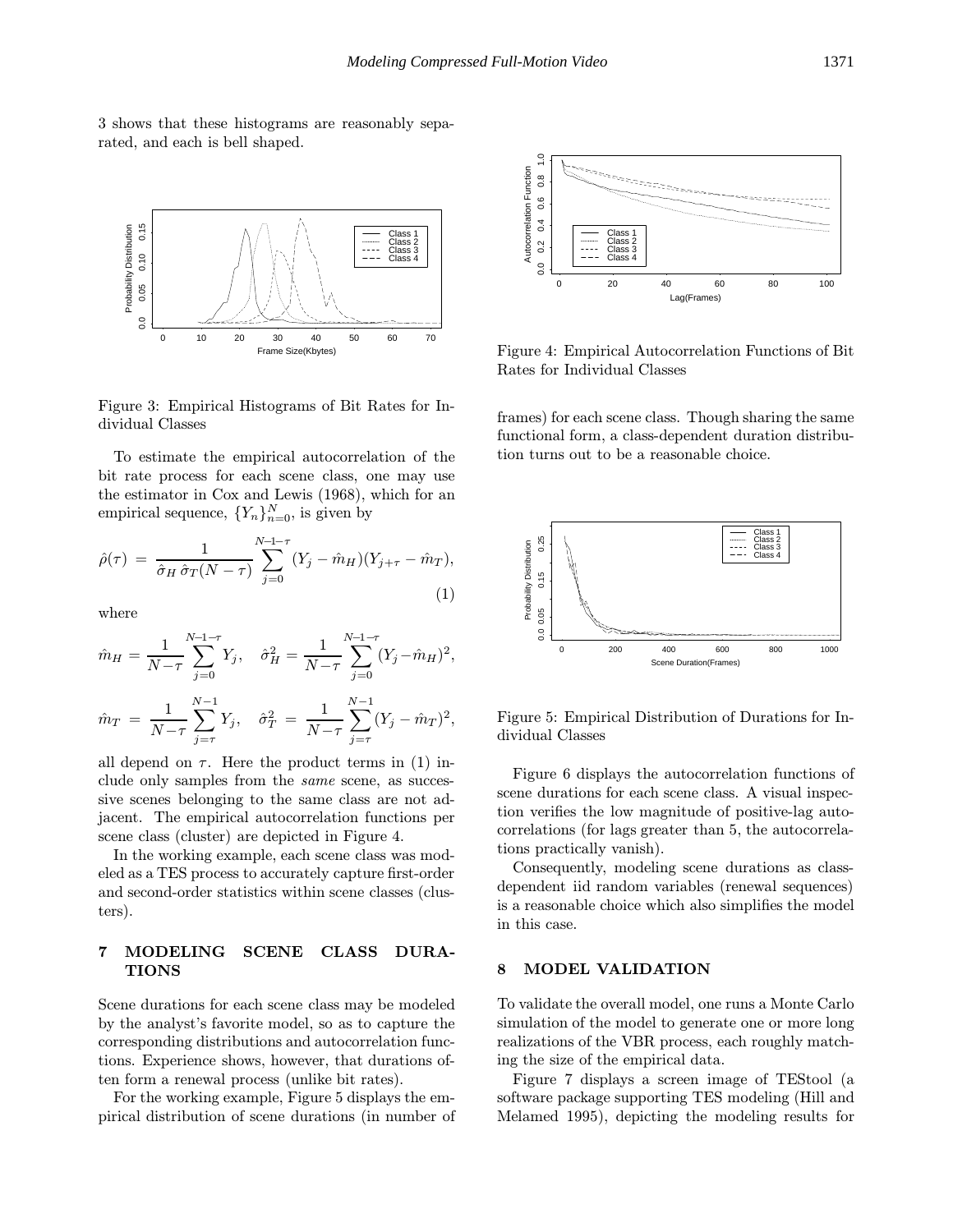3 shows that these histograms are reasonably separated, and each is bell shaped.



Figure 3: Empirical Histograms of Bit Rates for Individual Classes

To estimate the empirical autocorrelation of the bit rate process for each scene class, one may use the estimator in Cox and Lewis (1968), which for an empirical sequence,  $\{Y_n\}_{n=0}^N$ , is given by

$$
\hat{\rho}(\tau) = \frac{1}{\hat{\sigma}_H \, \hat{\sigma}_T (N - \tau)} \sum_{j=0}^{N-1-\tau} (Y_j - \hat{m}_H)(Y_{j+\tau} - \hat{m}_T), \tag{1}
$$

where

$$
\hat{m}_H = \frac{1}{N-\tau} \sum_{j=0}^{N-1-\tau} Y_j, \quad \hat{\sigma}_H^2 = \frac{1}{N-\tau} \sum_{j=0}^{N-1-\tau} (Y_j - \hat{m}_H)^2,
$$
  

$$
\hat{m}_T = \frac{1}{N-\tau} \sum_{j=\tau}^{N-1} Y_j, \quad \hat{\sigma}_T^2 = \frac{1}{N-\tau} \sum_{j=\tau}^{N-1} (Y_j - \hat{m}_T)^2,
$$

all depend on  $\tau$ . Here the product terms in (1) include only samples from the same scene, as successive scenes belonging to the same class are not adjacent. The empirical autocorrelation functions per scene class (cluster) are depicted in Figure 4.

In the working example, each scene class was modeled as a TES process to accurately capture first-order and second-order statistics within scene classes (clusters).

## 7 MODELING SCENE CLASS DURA-TIONS

Scene durations for each scene class may be modeled by the analyst's favorite model, so as to capture the corresponding distributions and autocorrelation functions. Experience shows, however, that durations often form a renewal process (unlike bit rates).

For the working example, Figure 5 displays the empirical distribution of scene durations (in number of



Figure 4: Empirical Autocorrelation Functions of Bit Rates for Individual Classes

frames) for each scene class. Though sharing the same functional form, a class-dependent duration distribution turns out to be a reasonable choice.



Figure 5: Empirical Distribution of Durations for Individual Classes

Figure 6 displays the autocorrelation functions of scene durations for each scene class. A visual inspection verifies the low magnitude of positive-lag autocorrelations (for lags greater than 5, the autocorrelations practically vanish).

Consequently, modeling scene durations as classdependent iid random variables (renewal sequences) is a reasonable choice which also simplifies the model in this case.

#### 8 MODEL VALIDATION

To validate the overall model, one runs a Monte Carlo simulation of the model to generate one or more long realizations of the VBR process, each roughly matching the size of the empirical data.

Figure 7 displays a screen image of TEStool (a software package supporting TES modeling (Hill and Melamed 1995), depicting the modeling results for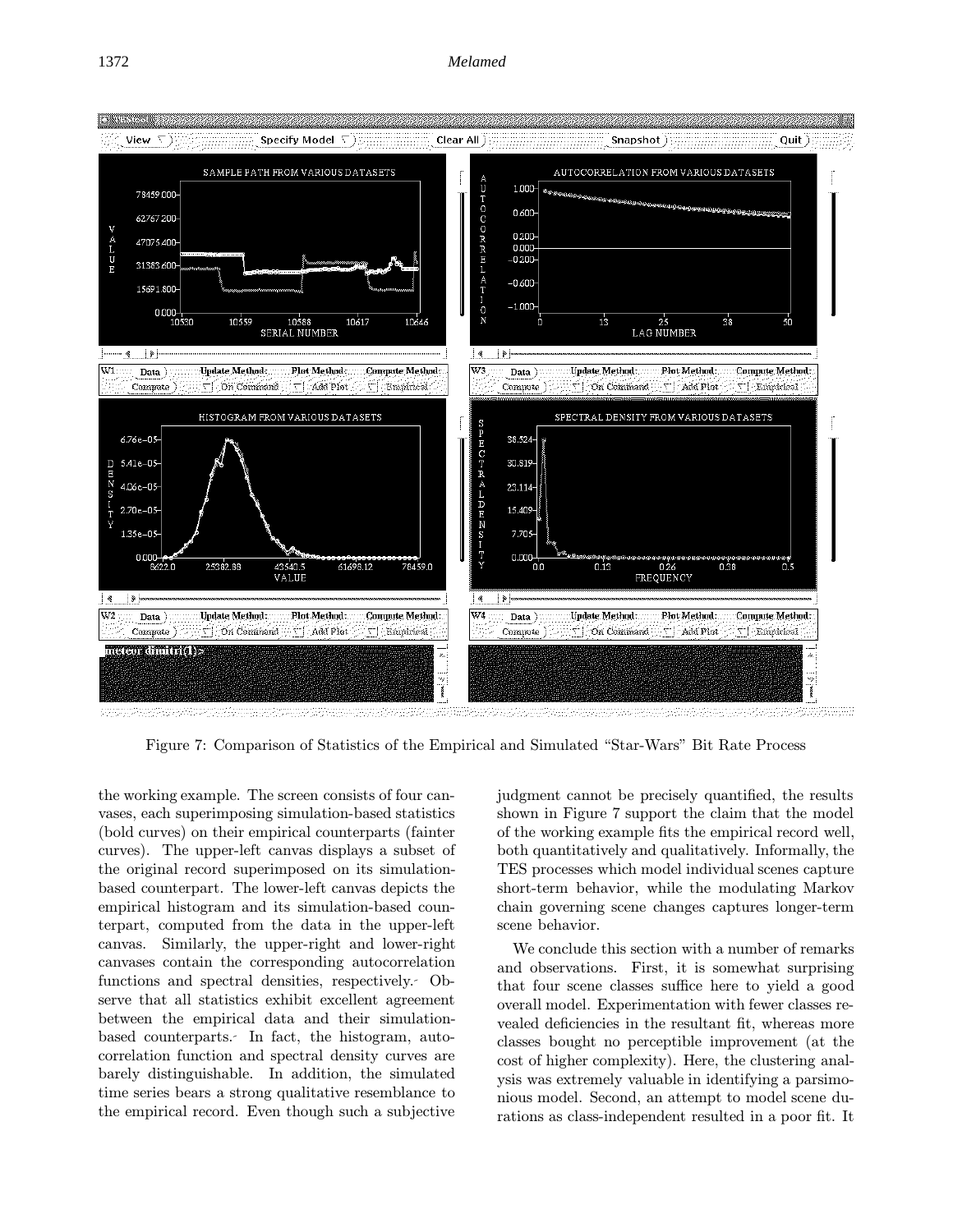

Figure 7: Comparison of Statistics of the Empirical and Simulated "Star-Wars" Bit Rate Process

the working example. The screen consists of four canvases, each superimposing simulation-based statistics (bold curves) on their empirical counterparts (fainter curves). The upper-left canvas displays a subset of the original record superimposed on its simulationbased counterpart. The lower-left canvas depicts the empirical histogram and its simulation-based counterpart, computed from the data in the upper-left canvas. Similarly, the upper-right and lower-right canvases contain the corresponding autocorrelation functions and spectral densities, respectively. Observe that all statistics exhibit excellent agreement between the empirical data and their simulationbased counterparts. In fact, the histogram, autocorrelation function and spectral density curves are barely distinguishable. In addition, the simulated time series bears a strong qualitative resemblance to the empirical record. Even though such a subjective

judgment cannot be precisely quantified, the results shown in Figure 7 support the claim that the model of the working example fits the empirical record well, both quantitatively and qualitatively. Informally, the TES processes which model individual scenes capture short-term behavior, while the modulating Markov chain governing scene changes captures longer-term scene behavior.

We conclude this section with a number of remarks and observations. First, it is somewhat surprising that four scene classes suffice here to yield a good overall model. Experimentation with fewer classes revealed deficiencies in the resultant fit, whereas more classes bought no perceptible improvement (at the cost of higher complexity). Here, the clustering analysis was extremely valuable in identifying a parsimonious model. Second, an attempt to model scene durations as class-independent resulted in a poor fit. It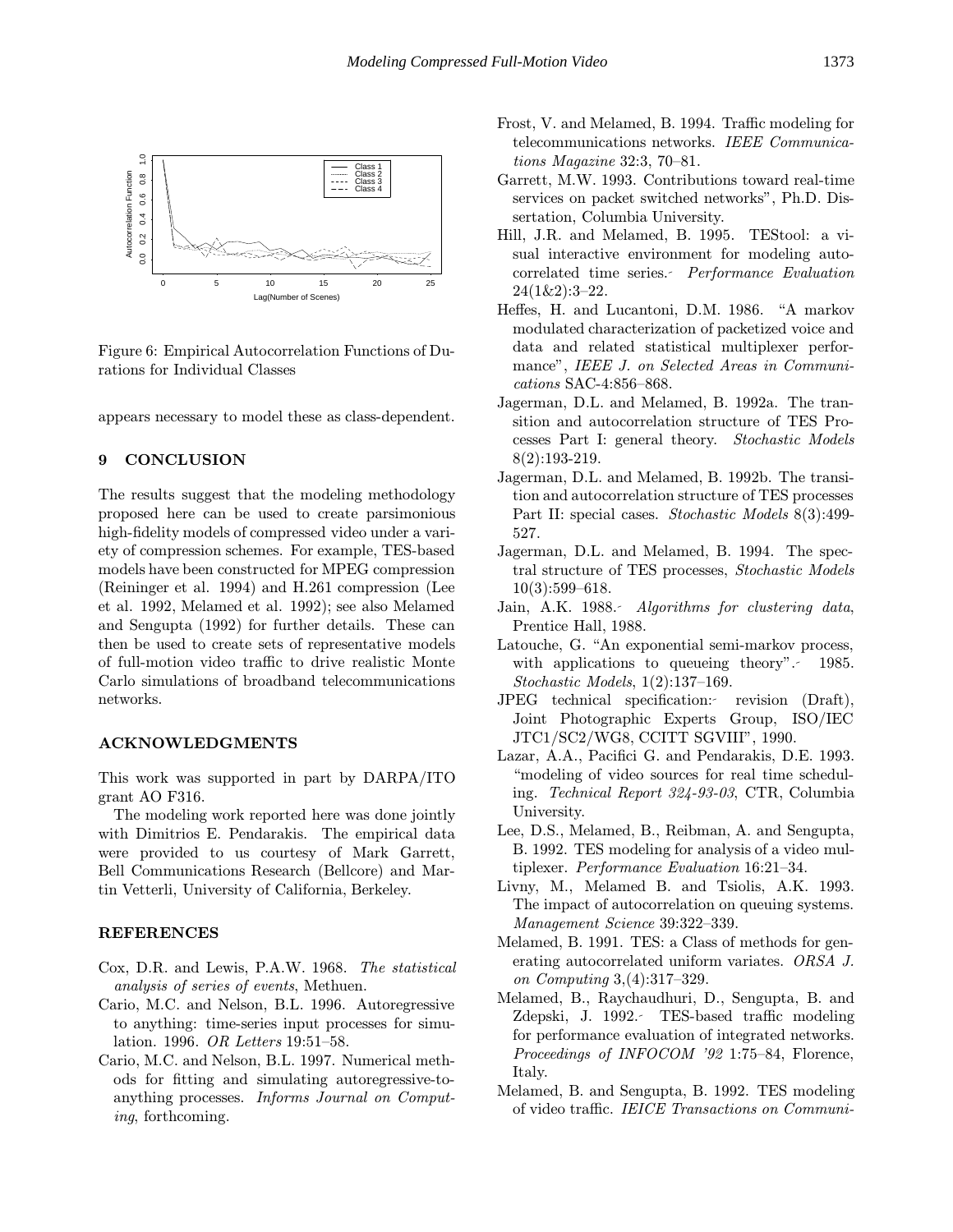

Figure 6: Empirical Autocorrelation Functions of Durations for Individual Classes

appears necessary to model these as class-dependent.

## 9 CONCLUSION

The results suggest that the modeling methodology proposed here can be used to create parsimonious high-fidelity models of compressed video under a variety of compression schemes. For example, TES-based models have been constructed for MPEG compression (Reininger et al. 1994) and H.261 compression (Lee et al. 1992, Melamed et al. 1992); see also Melamed and Sengupta (1992) for further details. These can then be used to create sets of representative models of full-motion video traffic to drive realistic Monte Carlo simulations of broadband telecommunications networks.

#### ACKNOWLEDGMENTS

This work was supported in part by DARPA/ITO grant AO F316.

The modeling work reported here was done jointly with Dimitrios E. Pendarakis. The empirical data were provided to us courtesy of Mark Garrett, Bell Communications Research (Bellcore) and Martin Vetterli, University of California, Berkeley.

# **REFERENCES**

- Cox, D.R. and Lewis, P.A.W. 1968. The statistical analysis of series of events, Methuen.
- Cario, M.C. and Nelson, B.L. 1996. Autoregressive to anything: time-series input processes for simulation. 1996. OR Letters 19:51–58.
- Cario, M.C. and Nelson, B.L. 1997. Numerical methods for fitting and simulating autoregressive-toanything processes. Informs Journal on Computing, forthcoming.
- Frost, V. and Melamed, B. 1994. Traffic modeling for telecommunications networks. IEEE Communications Magazine 32:3, 70–81.
- Garrett, M.W. 1993. Contributions toward real-time services on packet switched networks", Ph.D. Dissertation, Columbia University.
- Hill, J.R. and Melamed, B. 1995. TEStool: a visual interactive environment for modeling autocorrelated time series. Performance Evaluation  $24(1\&2):3-22.$
- Heffes, H. and Lucantoni, D.M. 1986. "A markov modulated characterization of packetized voice and data and related statistical multiplexer performance", IEEE J. on Selected Areas in Communications SAC-4:856–868.
- Jagerman, D.L. and Melamed, B. 1992a. The transition and autocorrelation structure of TES Processes Part I: general theory. Stochastic Models 8(2):193-219.
- Jagerman, D.L. and Melamed, B. 1992b. The transition and autocorrelation structure of TES processes Part II: special cases. Stochastic Models 8(3):499- 527.
- Jagerman, D.L. and Melamed, B. 1994. The spectral structure of TES processes, Stochastic Models 10(3):599–618.
- Jain, A.K. 1988. Algorithms for clustering data, Prentice Hall, 1988.
- Latouche, G. "An exponential semi-markov process, with applications to queueing theory". 1985. Stochastic Models, 1(2):137–169.
- JPEG technical specification: revision (Draft), Joint Photographic Experts Group, ISO/IEC JTC1/SC2/WG8, CCITT SGVIII", 1990.
- Lazar, A.A., Pacifici G. and Pendarakis, D.E. 1993. "modeling of video sources for real time scheduling. Technical Report 324-93-03, CTR, Columbia University.
- Lee, D.S., Melamed, B., Reibman, A. and Sengupta, B. 1992. TES modeling for analysis of a video multiplexer. Performance Evaluation 16:21–34.
- Livny, M., Melamed B. and Tsiolis, A.K. 1993. The impact of autocorrelation on queuing systems. Management Science 39:322–339.
- Melamed, B. 1991. TES: a Class of methods for generating autocorrelated uniform variates. ORSA J. on Computing 3,(4):317–329.
- Melamed, B., Raychaudhuri, D., Sengupta, B. and Zdepski, J. 1992. TES-based traffic modeling for performance evaluation of integrated networks. Proceedings of INFOCOM '92 1:75–84, Florence, Italy.
- Melamed, B. and Sengupta, B. 1992. TES modeling of video traffic. IEICE Transactions on Communi-